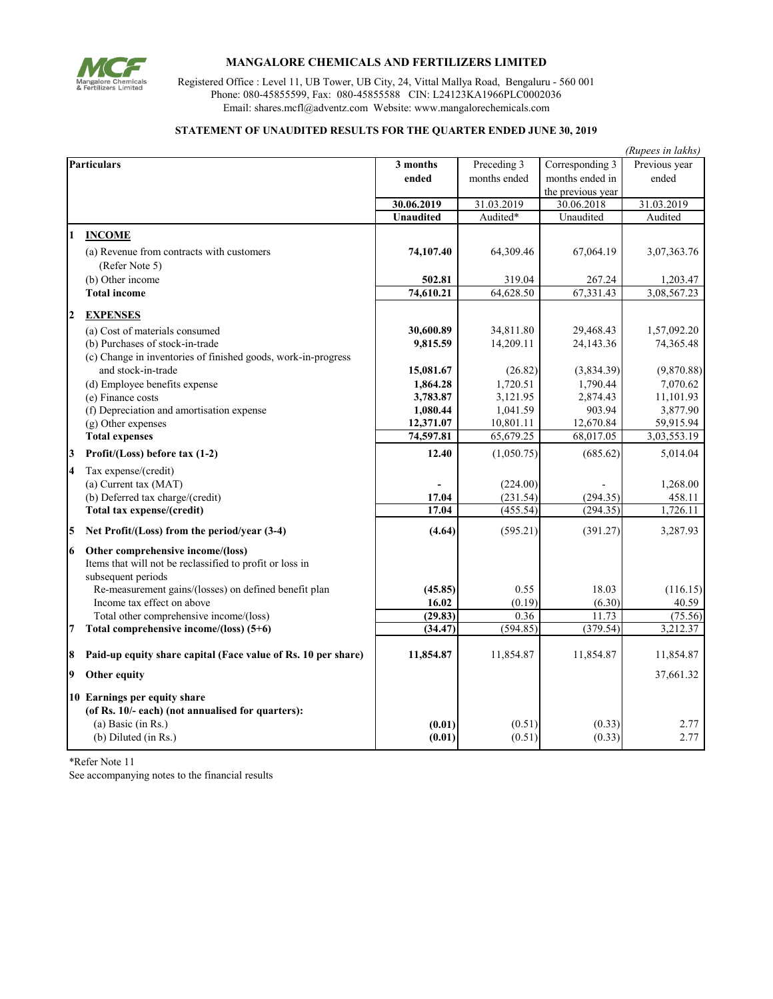

## **MANGALORE CHEMICALS AND FERTILIZERS LIMITED**

Registered Office : Level 11, UB Tower, UB City, 24, Vittal Mallya Road, Bengaluru - 560 001 Phone: 080-45855599, Fax: 080-45855588 CIN: L24123KA1966PLC0002036 Email: shares.mcfl@adventz.com Website: www.mangalorechemicals.com

## **STATEMENT OF UNAUDITED RESULTS FOR THE QUARTER ENDED JUNE 30, 2019**

| (Rupees in lakhs)       |                                                                                                                     |                  |              |                   |               |
|-------------------------|---------------------------------------------------------------------------------------------------------------------|------------------|--------------|-------------------|---------------|
| <b>Particulars</b>      |                                                                                                                     | 3 months         | Preceding 3  | Corresponding 3   | Previous year |
|                         |                                                                                                                     | ended            | months ended | months ended in   | ended         |
|                         |                                                                                                                     |                  |              | the previous year |               |
|                         |                                                                                                                     | 30.06.2019       | 31.03.2019   | 30.06.2018        | 31.03.2019    |
|                         |                                                                                                                     | <b>Unaudited</b> | Audited*     | Unaudited         | Audited       |
| 1                       | <b>INCOME</b>                                                                                                       |                  |              |                   |               |
|                         | (a) Revenue from contracts with customers<br>(Refer Note 5)                                                         | 74,107.40        | 64,309.46    | 67,064.19         | 3,07,363.76   |
|                         | (b) Other income                                                                                                    | 502.81           | 319.04       | 267.24            | 1,203.47      |
|                         | <b>Total income</b>                                                                                                 | 74,610.21        | 64,628.50    | 67,331.43         | 3,08,567.23   |
| $\overline{2}$          | <b>EXPENSES</b>                                                                                                     |                  |              |                   |               |
|                         | (a) Cost of materials consumed                                                                                      | 30,600.89        | 34,811.80    | 29,468.43         | 1,57,092.20   |
|                         | (b) Purchases of stock-in-trade                                                                                     | 9,815.59         | 14,209.11    | 24,143.36         | 74,365.48     |
|                         | (c) Change in inventories of finished goods, work-in-progress                                                       |                  |              |                   |               |
|                         | and stock-in-trade                                                                                                  | 15,081.67        | (26.82)      | (3,834.39)        | (9,870.88)    |
|                         | (d) Employee benefits expense                                                                                       | 1,864.28         | 1,720.51     | 1,790.44          | 7,070.62      |
|                         | (e) Finance costs                                                                                                   | 3,783.87         | 3,121.95     | 2,874.43          | 11,101.93     |
|                         | (f) Depreciation and amortisation expense                                                                           | 1,080.44         | 1,041.59     | 903.94            | 3,877.90      |
|                         | (g) Other expenses                                                                                                  | 12,371.07        | 10,801.11    | 12,670.84         | 59,915.94     |
|                         | <b>Total expenses</b>                                                                                               | 74,597.81        | 65,679.25    | 68,017.05         | 3,03,553.19   |
| 3                       | Profit/(Loss) before tax (1-2)                                                                                      | 12.40            | (1,050.75)   | (685.62)          | 5,014.04      |
| $\overline{\mathbf{4}}$ | Tax expense/(credit)                                                                                                |                  |              |                   |               |
|                         | (a) Current tax (MAT)                                                                                               |                  | (224.00)     |                   | 1,268.00      |
|                         | (b) Deferred tax charge/(credit)                                                                                    | 17.04            | (231.54)     | (294.35)          | 458.11        |
|                         | Total tax expense/(credit)                                                                                          | 17.04            | (455.54)     | (294.35)          | 1,726.11      |
| 5                       | Net Profit/(Loss) from the period/year (3-4)                                                                        | (4.64)           | (595.21)     | (391.27)          | 3,287.93      |
| 6                       | Other comprehensive income/(loss)<br>Items that will not be reclassified to profit or loss in<br>subsequent periods |                  |              |                   |               |
|                         | Re-measurement gains/(losses) on defined benefit plan                                                               | (45.85)          | 0.55         | 18.03             | (116.15)      |
|                         | Income tax effect on above                                                                                          | 16.02            | (0.19)       | (6.30)            | 40.59         |
|                         | Total other comprehensive income/(loss)                                                                             | (29.83)          | 0.36         | 11.73             | (75.56)       |
| $\overline{7}$          | Total comprehensive income/(loss) (5+6)                                                                             | (34.47)          | (594.85)     | (379.54)          | 3,212.37      |
| 8                       | Paid-up equity share capital (Face value of Rs. 10 per share)                                                       | 11,854.87        | 11,854.87    | 11,854.87         | 11,854.87     |
| 9                       | Other equity                                                                                                        |                  |              |                   | 37,661.32     |
|                         | 10 Earnings per equity share                                                                                        |                  |              |                   |               |
|                         | (of Rs. 10/- each) (not annualised for quarters):                                                                   |                  |              |                   |               |
|                         | (a) Basic (in Rs.)                                                                                                  | (0.01)           | (0.51)       | (0.33)            | 2.77          |
|                         | (b) Diluted (in Rs.)                                                                                                | (0.01)           | (0.51)       | (0.33)            | 2.77          |

\*Refer Note 11 See accompanying notes to the financial results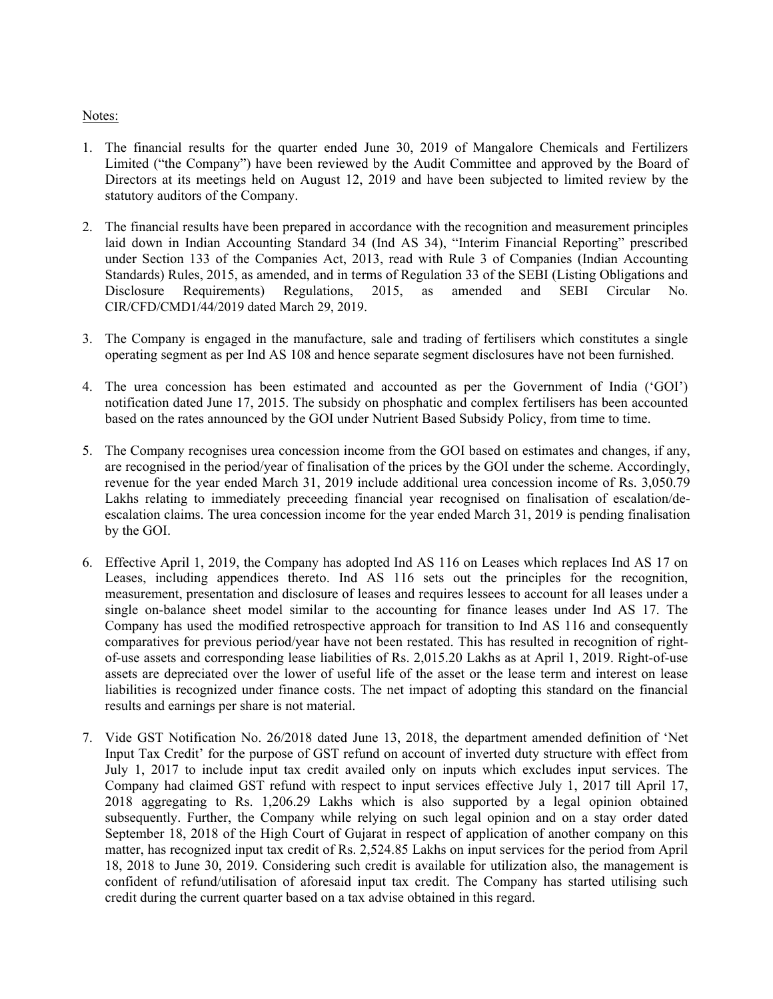## Notes:

- 1. The financial results for the quarter ended June 30, 2019 of Mangalore Chemicals and Fertilizers Limited ("the Company") have been reviewed by the Audit Committee and approved by the Board of Directors at its meetings held on August 12, 2019 and have been subjected to limited review by the statutory auditors of the Company.
- 2. The financial results have been prepared in accordance with the recognition and measurement principles laid down in Indian Accounting Standard 34 (Ind AS 34), "Interim Financial Reporting" prescribed under Section 133 of the Companies Act, 2013, read with Rule 3 of Companies (Indian Accounting Standards) Rules, 2015, as amended, and in terms of Regulation 33 of the SEBI (Listing Obligations and Disclosure Requirements) Regulations, 2015, as amended and SEBI Circular No. CIR/CFD/CMD1/44/2019 dated March 29, 2019.
- 3. The Company is engaged in the manufacture, sale and trading of fertilisers which constitutes a single operating segment as per Ind AS 108 and hence separate segment disclosures have not been furnished.
- 4. The urea concession has been estimated and accounted as per the Government of India ('GOI') notification dated June 17, 2015. The subsidy on phosphatic and complex fertilisers has been accounted based on the rates announced by the GOI under Nutrient Based Subsidy Policy, from time to time.
- 5. The Company recognises urea concession income from the GOI based on estimates and changes, if any, are recognised in the period/year of finalisation of the prices by the GOI under the scheme. Accordingly, revenue for the year ended March 31, 2019 include additional urea concession income of Rs. 3,050.79 Lakhs relating to immediately preceeding financial year recognised on finalisation of escalation/deescalation claims. The urea concession income for the year ended March 31, 2019 is pending finalisation by the GOI.
- 6. Effective April 1, 2019, the Company has adopted Ind AS 116 on Leases which replaces Ind AS 17 on Leases, including appendices thereto. Ind AS 116 sets out the principles for the recognition, measurement, presentation and disclosure of leases and requires lessees to account for all leases under a single on-balance sheet model similar to the accounting for finance leases under Ind AS 17. The Company has used the modified retrospective approach for transition to Ind AS 116 and consequently comparatives for previous period/year have not been restated. This has resulted in recognition of rightof-use assets and corresponding lease liabilities of Rs. 2,015.20 Lakhs as at April 1, 2019. Right-of-use assets are depreciated over the lower of useful life of the asset or the lease term and interest on lease liabilities is recognized under finance costs. The net impact of adopting this standard on the financial results and earnings per share is not material.
- 7. Vide GST Notification No. 26/2018 dated June 13, 2018, the department amended definition of 'Net Input Tax Credit' for the purpose of GST refund on account of inverted duty structure with effect from July 1, 2017 to include input tax credit availed only on inputs which excludes input services. The Company had claimed GST refund with respect to input services effective July 1, 2017 till April 17, 2018 aggregating to Rs. 1,206.29 Lakhs which is also supported by a legal opinion obtained subsequently. Further, the Company while relying on such legal opinion and on a stay order dated September 18, 2018 of the High Court of Gujarat in respect of application of another company on this matter, has recognized input tax credit of Rs. 2,524.85 Lakhs on input services for the period from April 18, 2018 to June 30, 2019. Considering such credit is available for utilization also, the management is confident of refund/utilisation of aforesaid input tax credit. The Company has started utilising such credit during the current quarter based on a tax advise obtained in this regard.